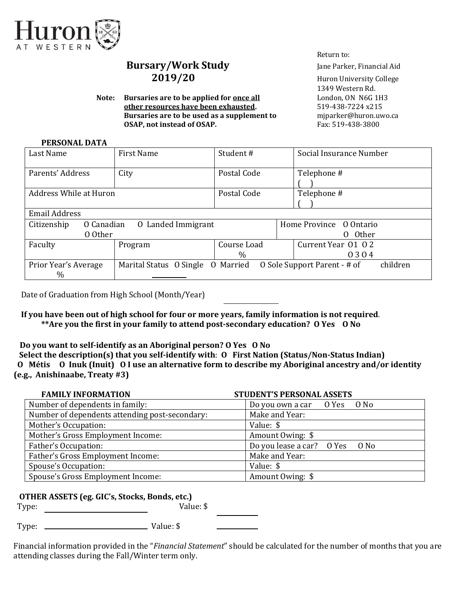

# **Bursary/Work Study** Jane Parker, Financial Aid **2019/20** Huron University College

**Note: Bursaries are to be applied for <u>once all</u> London, ON N6G 1H3 other resources have been exhausted.** 519-438-7224 x215 **Bursaries are to be used as a supplement to miparker@huron.uwo.ca OSAP, not instead of OSAP.** Fax: 519-438-3800

Return to:

1349 Western Rd.

#### **PERSONAL DATA**

| Last Name                            | <b>First Name</b>                                                 | Student#                                          | Social Insurance Number |  |  |  |  |
|--------------------------------------|-------------------------------------------------------------------|---------------------------------------------------|-------------------------|--|--|--|--|
| Parents' Address                     | City                                                              | Telephone #<br>Postal Code                        |                         |  |  |  |  |
| Address While at Huron               |                                                                   | Postal Code                                       | Telephone #             |  |  |  |  |
| Email Address                        |                                                                   |                                                   |                         |  |  |  |  |
| O Canadian<br>Citizenship<br>0 Other | 0 Landed Immigrant                                                | Home Province 0 Ontario<br>0 Other                |                         |  |  |  |  |
| Faculty                              | Program                                                           | Current Year 01 02<br>Course Load<br>$\%$<br>0304 |                         |  |  |  |  |
| Prior Year's Average<br>$\%$         | O Sole Support Parent - # of<br>Marital Status O Single O Married |                                                   | children                |  |  |  |  |

Date of Graduation from High School (Month/Year)

 **If you have been out of high school for four or more years, family information is not required**. **\*\*Are you the first in your family to attend post-secondary education? O Yes O No** 

**Do you want to self-identify as an Aboriginal person? O Yes O No** 

 **Select the description(s) that you self-identify with**: **O First Nation (Status/Non-Status Indian) O Métis O Inuk (Inuit) O I use an alternative form to describe my Aboriginal ancestry and/or identity (e.g., Anishinaabe, Treaty #3)**

| <b>FAMILY INFORMATION</b>                      | <b>STUDENT'S PERSONAL ASSETS</b> |  |  |
|------------------------------------------------|----------------------------------|--|--|
| Number of dependents in family:                | Do you own a car O Yes O No      |  |  |
| Number of dependents attending post-secondary: | Make and Year:                   |  |  |
| Mother's Occupation:                           | Value: \$                        |  |  |
| Mother's Gross Employment Income:              | Amount Owing: \$                 |  |  |
| Father's Occupation:                           | Do you lease a car? O Yes O No   |  |  |
| Father's Gross Employment Income:              | Make and Year:                   |  |  |
| Spouse's Occupation:                           | Value: \$                        |  |  |
| Spouse's Gross Employment Income:              | Amount Owing: \$                 |  |  |

## **OTHER ASSETS (eg. GIC's, Stocks, Bonds, etc.)**

Type: Value: \$

Type: Value: \$

Financial information provided in the "*Financial Statement*" should be calculated for the number of months that you are attending classes during the Fall/Winter term only.